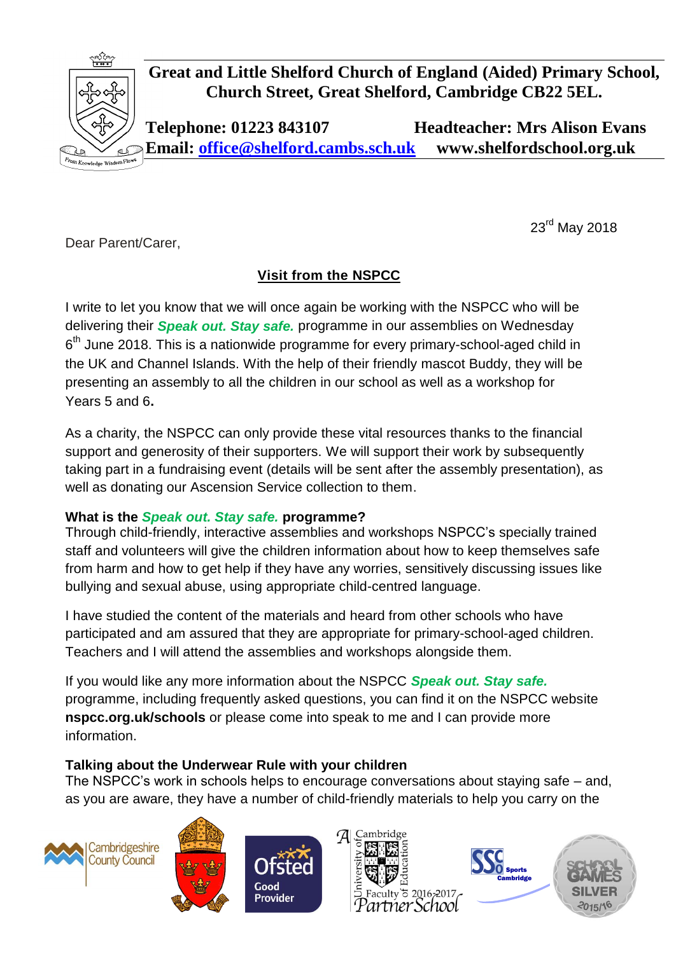

**Great and Little Shelford Church of England (Aided) Primary School, Church Street, Great Shelford, Cambridge CB22 5EL.**

**Telephone: 01223 843107 Headteacher: Mrs Alison Evans Email: [office@shelford.cambs.sch.uk](mailto:office@shelford.cambs.sch.uk) www.shelfordschool.org.uk**

Dear Parent/Carer,

## **Visit from the NSPCC**

I write to let you know that we will once again be working with the NSPCC who will be delivering their *Speak out. Stay safe.* programme in our assemblies on Wednesday  $6<sup>th</sup>$  June 2018. This is a nationwide programme for every primary-school-aged child in the UK and Channel Islands. With the help of their friendly mascot Buddy, they will be presenting an assembly to all the children in our school as well as a workshop for Years 5 and 6**.**

As a charity, the NSPCC can only provide these vital resources thanks to the financial support and generosity of their supporters. We will support their work by subsequently taking part in a fundraising event (details will be sent after the assembly presentation), as well as donating our Ascension Service collection to them.

## **What is the** *Speak out. Stay safe.* **programme?**

Through child-friendly, interactive assemblies and workshops NSPCC's specially trained staff and volunteers will give the children information about how to keep themselves safe from harm and how to get help if they have any worries, sensitively discussing issues like bullying and sexual abuse, using appropriate child-centred language.

I have studied the content of the materials and heard from other schools who have participated and am assured that they are appropriate for primary-school-aged children. Teachers and I will attend the assemblies and workshops alongside them.

If you would like any more information about the NSPCC *Speak out. Stay safe.* programme, including frequently asked questions, you can find it on the NSPCC website **nspcc.org.uk/schools** or please come into speak to me and I can provide more information.

## **Talking about the Underwear Rule with your children**

The NSPCC's work in schools helps to encourage conversations about staying safe – and, as you are aware, they have a number of child-friendly materials to help you carry on the













23rd May 2018